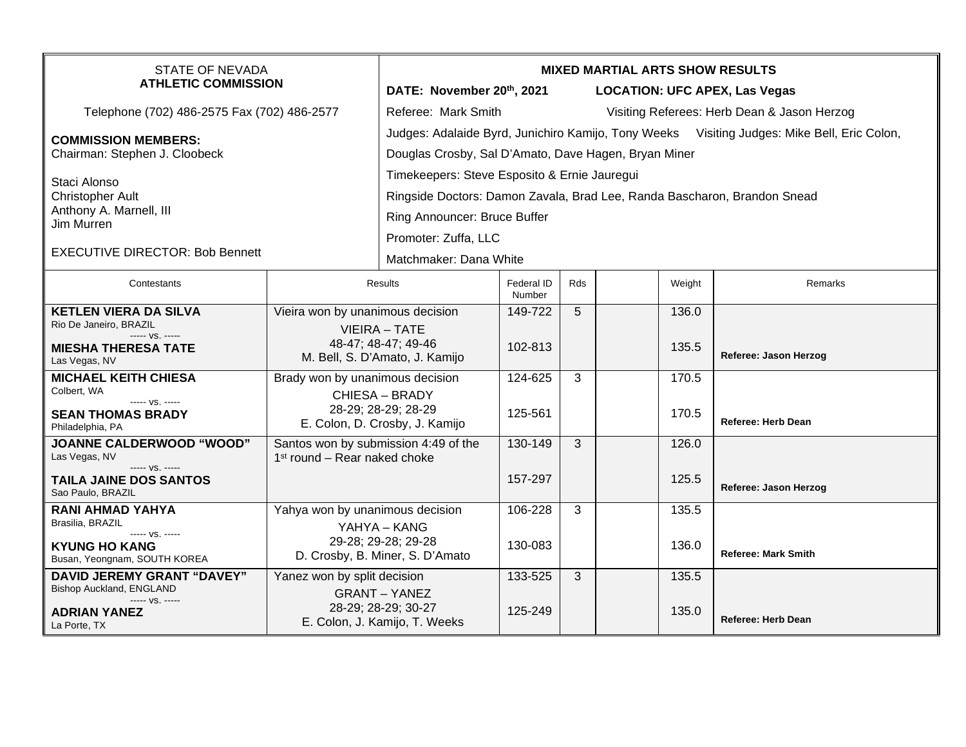| <b>STATE OF NEVADA</b><br><b>ATHLETIC COMMISSION</b>                               |                                                                                  | <b>MIXED MARTIAL ARTS SHOW RESULTS</b>                                                                                                              |                      |                                      |                                             |                    |                            |  |  |
|------------------------------------------------------------------------------------|----------------------------------------------------------------------------------|-----------------------------------------------------------------------------------------------------------------------------------------------------|----------------------|--------------------------------------|---------------------------------------------|--------------------|----------------------------|--|--|
|                                                                                    |                                                                                  | DATE: November 20th, 2021                                                                                                                           |                      | <b>LOCATION: UFC APEX, Las Vegas</b> |                                             |                    |                            |  |  |
| Telephone (702) 486-2575 Fax (702) 486-2577                                        |                                                                                  | Referee: Mark Smith                                                                                                                                 |                      |                                      | Visiting Referees: Herb Dean & Jason Herzog |                    |                            |  |  |
| <b>COMMISSION MEMBERS:</b><br>Chairman: Stephen J. Cloobeck                        |                                                                                  | Judges: Adalaide Byrd, Junichiro Kamijo, Tony Weeks Visiting Judges: Mike Bell, Eric Colon,<br>Douglas Crosby, Sal D'Amato, Dave Hagen, Bryan Miner |                      |                                      |                                             |                    |                            |  |  |
| Staci Alonso                                                                       |                                                                                  | Timekeepers: Steve Esposito & Ernie Jauregui                                                                                                        |                      |                                      |                                             |                    |                            |  |  |
| <b>Christopher Ault</b>                                                            |                                                                                  | Ringside Doctors: Damon Zavala, Brad Lee, Randa Bascharon, Brandon Snead                                                                            |                      |                                      |                                             |                    |                            |  |  |
| Anthony A. Marnell, III<br>Jim Murren                                              |                                                                                  | Ring Announcer: Bruce Buffer                                                                                                                        |                      |                                      |                                             |                    |                            |  |  |
|                                                                                    |                                                                                  | Promoter: Zuffa, LLC                                                                                                                                |                      |                                      |                                             |                    |                            |  |  |
| <b>EXECUTIVE DIRECTOR: Bob Bennett</b>                                             |                                                                                  | Matchmaker: Dana White                                                                                                                              |                      |                                      |                                             |                    |                            |  |  |
| Contestants                                                                        | <b>Results</b>                                                                   |                                                                                                                                                     | Federal ID<br>Number | <b>Rds</b>                           |                                             | Weight             | <b>Remarks</b>             |  |  |
| <b>KETLEN VIERA DA SILVA</b><br>Rio De Janeiro, BRAZIL                             | Vieira won by unanimous decision                                                 |                                                                                                                                                     | 149-722              | 5                                    |                                             | 136.0              |                            |  |  |
| ----- VS. -----                                                                    |                                                                                  | <b>VIEIRA - TATE</b>                                                                                                                                |                      |                                      |                                             |                    |                            |  |  |
| <b>MIESHA THERESA TATE</b><br>Las Vegas, NV                                        | 48-47; 48-47; 49-46<br>M. Bell, S. D'Amato, J. Kamijo                            |                                                                                                                                                     | 102-813              |                                      |                                             | 135.5              | Referee: Jason Herzog      |  |  |
| <b>MICHAEL KEITH CHIESA</b>                                                        | Brady won by unanimous decision                                                  |                                                                                                                                                     | 124-625              | 3                                    |                                             | 170.5              |                            |  |  |
| Colbert, WA<br>----- VS. -----                                                     |                                                                                  | CHIESA - BRADY<br>28-29; 28-29; 28-29                                                                                                               |                      |                                      |                                             |                    |                            |  |  |
| <b>SEAN THOMAS BRADY</b><br>Philadelphia, PA                                       |                                                                                  | E. Colon, D. Crosby, J. Kamijo                                                                                                                      | 125-561              |                                      |                                             | 170.5              | <b>Referee: Herb Dean</b>  |  |  |
| <b>JOANNE CALDERWOOD "WOOD"</b><br>Las Vegas, NV                                   | Santos won by submission 4:49 of the<br>1 <sup>st</sup> round – Rear naked choke |                                                                                                                                                     | 130-149              | 3                                    |                                             | 126.0              |                            |  |  |
| $--- VS. ---$<br><b>TAILA JAINE DOS SANTOS</b><br>Sao Paulo, BRAZIL                |                                                                                  |                                                                                                                                                     | 157-297              |                                      |                                             | 125.5              | Referee: Jason Herzog      |  |  |
| <b>RANI AHMAD YAHYA</b><br>Yahya won by unanimous decision<br>Brasilia, BRAZIL     |                                                                                  |                                                                                                                                                     | 106-228              | 3                                    |                                             | $\overline{135.5}$ |                            |  |  |
| ----- VS. -----<br><b>KYUNG HO KANG</b><br>Busan, Yeongnam, SOUTH KOREA            | YAHYA - KANG<br>29-28; 29-28; 29-28<br>D. Crosby, B. Miner, S. D'Amato           |                                                                                                                                                     | 130-083              |                                      |                                             | 136.0              | <b>Referee: Mark Smith</b> |  |  |
| <b>DAVID JEREMY GRANT "DAVEY"</b>                                                  | Yanez won by split decision                                                      |                                                                                                                                                     | 133-525              | 3                                    |                                             | 135.5              |                            |  |  |
| Bishop Auckland, ENGLAND<br>----- VS. -----<br><b>ADRIAN YANEZ</b><br>La Porte, TX | <b>GRANT – YANEZ</b><br>28-29; 28-29; 30-27<br>E. Colon, J. Kamijo, T. Weeks     |                                                                                                                                                     | 125-249              |                                      |                                             | 135.0              | <b>Referee: Herb Dean</b>  |  |  |